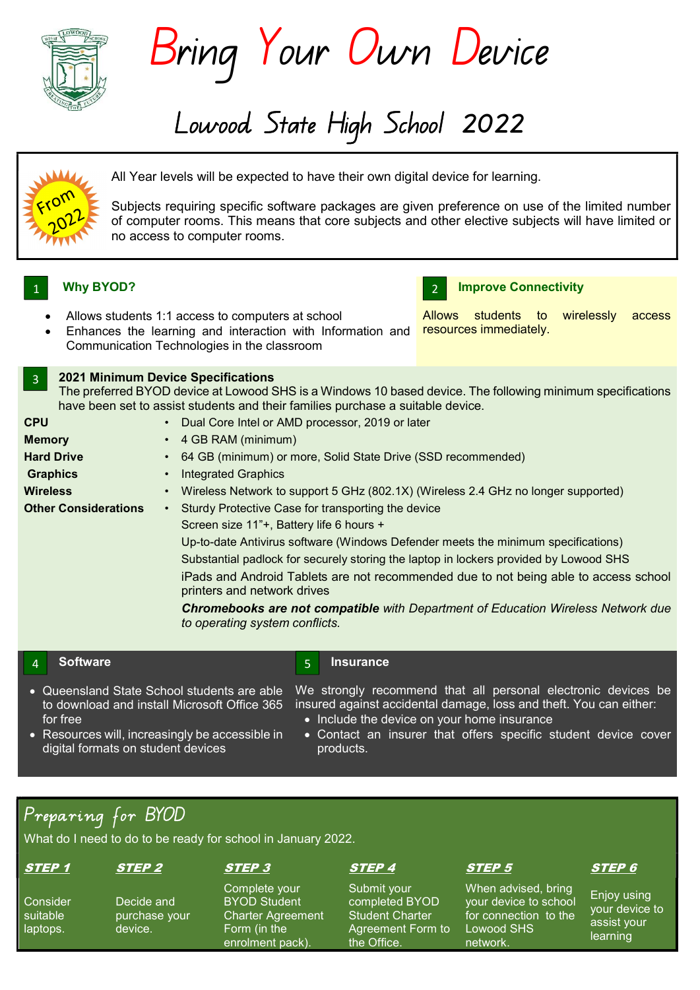

Bring Your Own Device

Lowood State High School 2022



All Year levels will be expected to have their own digital device for learning.

Subjects requiring specific software packages are given preference on use of the limited number of computer rooms. This means that core subjects and other elective subjects will have limited or no access to computer rooms.

# 1 U Why BYOD?

3



• Enhances the learning and interaction with Information and **resources immediately.** Communication Technologies in the classroom

### 2021 Minimum Device Specifications The preferred BYOD device at Lowood SHS is a Windows 10 based device. The following minimum specifications have been set to assist students and their families purchase a suitable device. **CPU** Memory Hard Drive **Graphics Wireless** Other Considerations • • • • • • Dual Core Intel or AMD processor, 2019 or later 4 GB RAM (minimum) 64 GB (minimum) or more, Solid State Drive (SSD recommended) Integrated Graphics Wireless Network to support 5 GHz (802.1X) (Wireless 2.4 GHz no longer supported) Sturdy Protective Case for transporting the device Screen size 11"+, Battery life 6 hours + Up-to-date Antivirus software (Windows Defender meets the minimum specifications) Substantial padlock for securely storing the laptop in lockers provided by Lowood SHS iPads and Android Tablets are not recommended due to not being able to access school printers and network drives Chromebooks are not compatible with Department of Education Wireless Network due

**Insurance** 

# 4 **Software 1996** Software **1997**

- Queensland State School students are able to download and install Microsoft Office 365 for free
- We strongly recommend that all personal electronic devices be insured against accidental damage, loss and theft. You can either:
	- Include the device on your home insurance
- Contact an insurer that offers specific student device cover products.
- Resources will, increasingly be accessible in digital formats on student devices

# Preparing for BYOD

What do I need to do to be ready for school in January 2022.

# STEP 1 STEP 2 STEP 3 STEP 4 STEP 5 STEP 6

Consider suitable laptops.

Decide and purchase your device.

to operating system conflicts.

Complete your BYOD Student Charter Agreement Form (in the enrolment pack).

Submit your completed BYOD Student Charter Agreement Form to the Office.

When advised, bring your device to school for connection to the Lowood SHS network.

Enjoy using your device to assist your learning

# Improve Connectivity

Allows students to wirelessly access